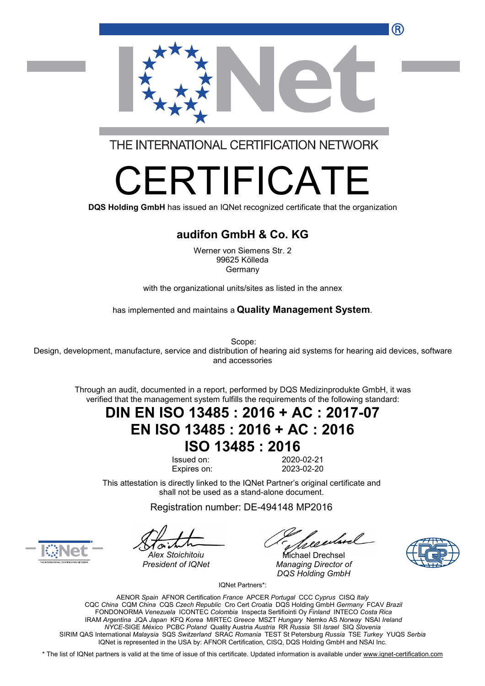R



THE INTERNATIONAL CERTIFICATION NETWORK

# RTIFICA

**DQS Holding GmbH** has issued an IQNet recognized certificate that the organization

#### **audifon GmbH & Co. KG**

Werner von Siemens Str. 2 99625 Kölleda Germany

with the organizational units/sites as listed in the annex

has implemented and maintains a **Quality Management System**.

Scope:

Design, development, manufacture, service and distribution of hearing aid systems for hearing aid devices, software and accessories

Through an audit, documented in a report, performed by DQS Medizinprodukte GmbH, it was verified that the management system fulfills the requirements of the following standard:

### **DIN EN ISO 13485 : 2016 + AC : 2017-07 EN ISO 13485 : 2016 + AC : 2016 ISO 13485 : 2016**

Issued on: 2020-02-21 Expires on: 2023-02-20

This attestation is directly linked to the IQNet Partner's original certificate and shall not be used as a stand-alone document.

Registration number: DE-494148 MP2016

reentmel

Alex Stoichitoiu **Michael Drechsel** *President of IQNet Managing Director of DQS Holding GmbH*



IQNet Partners\*:

AENOR *Spain* AFNOR Certification *France* APCER *Portugal* CCC *Cyprus* CISQ *Italy* CQC *China* CQM *China* CQS *Czech Republic* Cro Cert *Croatia* DQS Holding GmbH *Germany* FCAV *Brazil* FONDONORMA *Venezuela* ICONTEC *Colombia* Inspecta Sertifiointi Oy *Finland* INTECO *Costa Rica* IRAM *Argentina* JQA *Japan* KFQ *Korea* MIRTEC *Greece* MSZT *Hungary* Nemko AS *Norway* NSAI *Ireland NYCE-*SIGE *México* PCBC *Poland* Quality Austria *Austria* RR *Russia* SII *Israel* SIQ *Slovenia* SIRIM QAS International *Malaysia* SQS *Switzerland* SRAC *Romania* TEST St Petersburg *Russia* TSE *Turkey* YUQS *Serbia* IQNet is represented in the USA by: AFNOR Certification, CISQ, DQS Holding GmbH and NSAI Inc.

\* The list of IQNet partners is valid at the time of issue of this certificate. Updated information is available under [www.iqnet-certification.com](http://www.iqnet-certification.com)